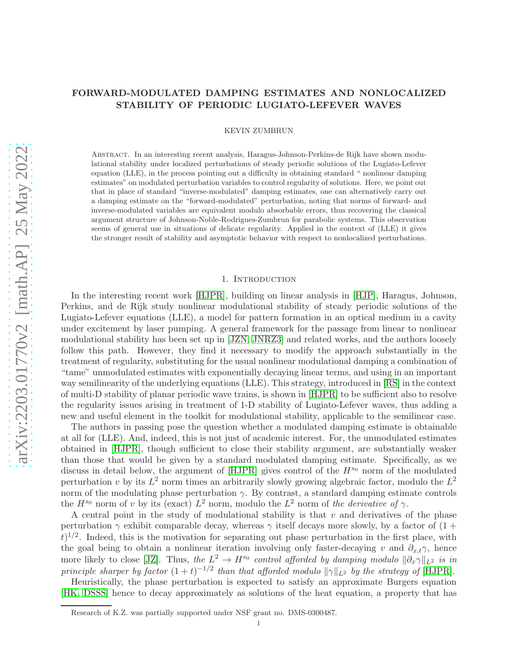# FORWARD-MODULATED DAMPING ESTIMATES AND NONLOCALIZED STABILITY OF PERIODIC LUGIATO-LEFEVER WAVES

KEVIN ZUMBRUN

Abstract. In an interesting recent analysis, Haragus-Johnson-Perkins-de Rijk have shown modulational stability under localized perturbations of steady periodic solutions of the Lugiato-Lefever equation (LLE), in the process pointing out a difficulty in obtaining standard " nonlinear damping estimates" on modulated perturbation variables to control regularity of solutions. Here, we point out that in place of standard "inverse-modulated" damping estimates, one can alternatively carry out a damping estimate on the "forward-modulated" perturbation, noting that norms of forward- and inverse-modulated variables are equivalent modulo absorbable errors, thus recovering the classical argument structure of Johnson-Noble-Rodrigues-Zumbrun for parabolic systems. This observation seems of general use in situations of delicate regularity. Applied in the context of (LLE) it gives the stronger result of stability and asymptotic behavior with respect to nonlocalized perturbations.

# 1. INTRODUCTION

In the interesting recent work [\[HJPR\]](#page-8-0), building on linear analysis in [\[HJP\]](#page-8-1), Haragus, Johnson, Perkins, and de Rijk study nonlinear modulational stability of steady periodic solutions of the Lugiato-Lefever equations (LLE), a model for pattern formation in an optical medium in a cavity under excitement by laser pumping. A general framework for the passage from linear to nonlinear modulational stability has been set up in [\[JZN,](#page-9-0) [JNRZ3\]](#page-8-2) and related works, and the authors loosely follow this path. However, they find it necessary to modify the approach substantially in the treatment of regularity, substituting for the usual nonlinear modulational damping a combination of "tame" unmodulated estimates with exponentially decaying linear terms, and using in an important way semilinearity of the underlying equations (LLE). This strategy, introduced in [\[RS\]](#page-9-1) in the context of multi-D stability of planar periodic wave trains, is shown in [\[HJPR\]](#page-8-0) to be sufficient also to resolve the regularity issues arising in treatment of 1-D stability of Lugiato-Lefever waves, thus adding a new and useful element in the toolkit for modulational stability, applicable to the semilinear case.

The authors in passing pose the question whether a modulated damping estimate is obtainable at all for (LLE). And, indeed, this is not just of academic interest. For, the unmodulated estimates obtained in [\[HJPR\]](#page-8-0), though sufficient to close their stability argument, are substantially weaker than those that would be given by a standard modulated damping estimate. Specifically, as we discuss in detail below, the argument of  $[HJPR]$  gives control of the  $H^{s_0}$  norm of the modulated perturbation v by its  $L^2$  norm times an arbitrarily slowly growing algebraic factor, modulo the  $L^2$ norm of the modulating phase perturbation  $\gamma$ . By contrast, a standard damping estimate controls the  $H^{s_0}$  norm of v by its (exact)  $L^2$  norm, modulo the  $L^2$  norm of the derivative of  $\gamma$ .

A central point in the study of modulational stability is that  $v$  and derivatives of the phase perturbation  $\gamma$  exhibit comparable decay, whereas  $\gamma$  itself decays more slowly, by a factor of  $(1 +$  $(t)^{1/2}$ . Indeed, this is the motivation for separating out phase perturbation in the first place, with the goal being to obtain a nonlinear iteration involving only faster-decaying v and  $\partial_{x,t}\gamma$ , hence more likely to close [\[JZ\]](#page-9-2). Thus, the  $L^2 \to H^{s_0}$  control afforded by damping modulo  $\|\partial_x \gamma\|_{L^2}$  is in principle sharper by factor  $(1+t)^{-1/2}$  than that afforded modulo  $\|\gamma\|_{L^2}$  by the strategy of [\[HJPR\]](#page-8-0).

Heuristically, the phase perturbation is expected to satisfy an approximate Burgers equation [\[HK,](#page-8-3) [DSSS\]](#page-8-4) hence to decay approximately as solutions of the heat equation, a property that has

Research of K.Z. was partially supported under NSF grant no. DMS-0300487.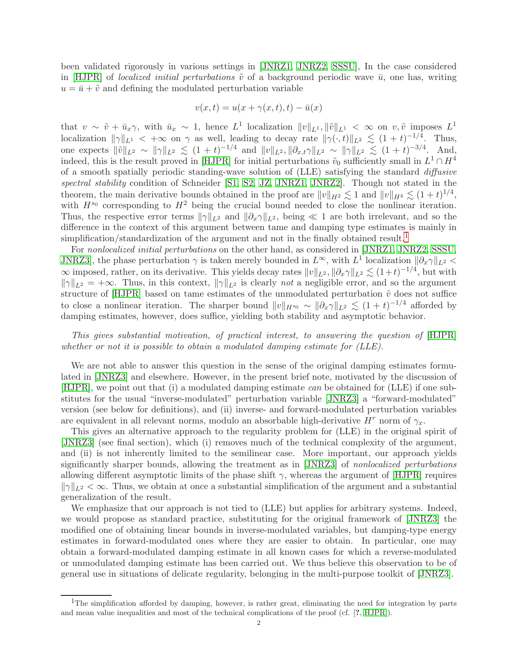been validated rigorously in various settings in [\[JNRZ1,](#page-8-5) [JNRZ2,](#page-8-6) [SSSU\]](#page-9-3), In the case considered in [\[HJPR\]](#page-8-0) of *localized initial perturbations*  $\tilde{v}$  of a background periodic wave  $\bar{u}$ , one has, writing  $u = \bar{u} + \tilde{v}$  and defining the modulated perturbation variable

$$
v(x,t) = u(x + \gamma(x,t),t) - \bar{u}(x)
$$

that  $v \sim \tilde{v} + \bar{u}_x \gamma$ , with  $\bar{u}_x \sim 1$ , hence  $L^1$  localization  $||v||_{L^1}$ ,  $||\tilde{v}||_{L^1} < \infty$  on  $v, \tilde{v}$  imposes  $L^1$ localization  $\|\gamma\|_{L^1} < +\infty$  on  $\gamma$  as well, leading to decay rate  $\|\gamma(\cdot, t)\|_{L^2} \lesssim (1 + t)^{-1/4}$ . Thus, one expects  $\|\tilde{v}\|_{L^2} \sim \|\gamma\|_{L^2} \lesssim (1+t)^{-1/4}$  and  $\|v\|_{L^2}$ ,  $\|\partial_{x,t}\gamma\|_{L^2} \sim \|\gamma\|_{L^2} \lesssim (1+t)^{-3/4}$ . And, indeed, this is the result proved in [\[HJPR\]](#page-8-0) for initial perturbations  $\tilde{v}_0$  sufficiently small in  $L^1 \cap H^4$ of a smooth spatially periodic standing-wave solution of (LLE) satisfying the standard diffusive spectral stability condition of Schneider [\[S1,](#page-9-4) [S2,](#page-9-5) [JZ,](#page-9-2) [JNRZ1,](#page-8-5) [JNRZ2\]](#page-8-6). Though not stated in the theorem, the main derivative bounds obtained in the proof are  $||v||_{H^2} \lesssim 1$  and  $||v||_{H^4} \lesssim (1 + t)^{1/4}$ , with  $H^{s_0}$  corresponding to  $H^2$  being the crucial bound needed to close the nonlinear iteration. Thus, the respective error terms  $\|\gamma\|_{L^2}$  and  $\|\partial_x\gamma\|_{L^2}$ , being ≪ 1 are both irrelevant, and so the difference in the context of this argument between tame and damping type estimates is mainly in simplification/standardization of the argument and not in the finally obtained result.<sup>[1](#page-1-0)</sup>

For nonlocalized initial perturbations on the other hand, as considered in [\[JNRZ1,](#page-8-5) [JNRZ2,](#page-8-6) [SSSU,](#page-9-3) JNRZ3, the phase perturbation  $\gamma$  is taken merely bounded in  $L^{\infty}$ , with  $L^{1}$  localization  $\|\partial_{x}\gamma\|_{L^{2}}$  $\infty$  imposed, rather, on its derivative. This yields decay rates  $||v||_{L^2}$ ,  $||\partial_x \gamma||_{L^2} \lesssim (1+t)^{-1/4}$ , but with  $\|\gamma\|_{L^2} = +\infty$ . Thus, in this context,  $\|\gamma\|_{L^2}$  is clearly not a negligible error, and so the argument structure of [\[HJPR\]](#page-8-0) based on tame estimates of the unmodulated perturbation  $\tilde{v}$  does not suffice to close a nonlinear iteration. The sharper bound  $||v||_{H^{s_0}} \sim ||\partial_x \gamma||_{L^2} \lesssim (1 + t)^{-1/4}$  afforded by damping estimates, however, does suffice, yielding both stability and asymptotic behavior.

This gives substantial motivation, of practical interest, to answering the question of [\[HJPR\]](#page-8-0) whether or not it is possible to obtain a modulated damping estimate for (LLE).

We are not able to answer this question in the sense of the original damping estimates formulated in [\[JNRZ3\]](#page-8-2) and elsewhere. However, in the present brief note, motivated by the discussion of [\[HJPR\]](#page-8-0), we point out that (i) a modulated damping estimate can be obtained for (LLE) if one substitutes for the usual "inverse-modulated" perturbation variable [\[JNRZ3\]](#page-8-2) a "forward-modulated" version (see below for definitions), and (ii) inverse- and forward-modulated perturbation variables are equivalent in all relevant norms, modulo an absorbable high-derivative  $H^r$  norm of  $\gamma_x$ .

This gives an alternative approach to the regularity problem for (LLE) in the original spirit of [\[JNRZ3\]](#page-8-2) (see final section), which (i) removes much of the technical complexity of the argument, and (ii) is not inherently limited to the semilinear case. More important, our approach yields significantly sharper bounds, allowing the treatment as in [\[JNRZ3\]](#page-8-2) of nonlocalized perturbations allowing different asymptotic limits of the phase shift  $\gamma$ , whereas the argument of [\[HJPR\]](#page-8-0) requires  $\|\gamma\|_{L^2} < \infty$ . Thus, we obtain at once a substantial simplification of the argument and a substantial generalization of the result.

We emphasize that our approach is not tied to (LLE) but applies for arbitrary systems. Indeed, we would propose as standard practice, substituting for the original framework of [\[JNRZ3\]](#page-8-2) the modified one of obtaining linear bounds in inverse-modulated variables, but damping-type energy estimates in forward-modulated ones where they are easier to obtain. In particular, one may obtain a forward-modulated damping estimate in all known cases for which a reverse-modulated or unmodulated damping estimate has been carried out. We thus believe this observation to be of general use in situations of delicate regularity, belonging in the multi-purpose toolkit of [\[JNRZ3\]](#page-8-2).

<span id="page-1-0"></span><sup>&</sup>lt;sup>1</sup>The simplification afforded by damping, however, is rather great, eliminating the need for integration by parts and mean value inequalities and most of the technical complications of the proof (cf. [?, [HJPR\]](#page-8-0)).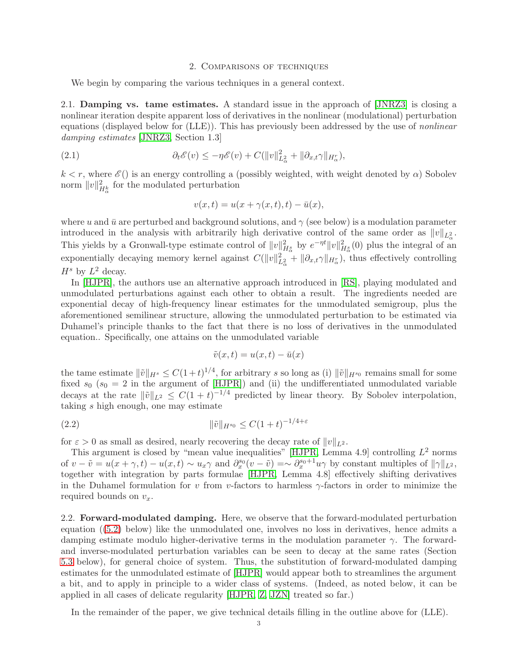# 2. Comparisons of techniques

We begin by comparing the various techniques in a general context.

2.1. Damping vs. tame estimates. A standard issue in the approach of [\[JNRZ3\]](#page-8-2) is closing a nonlinear iteration despite apparent loss of derivatives in the nonlinear (modulational) perturbation equations (displayed below for (LLE)). This has previously been addressed by the use of nonlinear damping estimates [\[JNRZ3,](#page-8-2) Section 1.3]

(2.1) 
$$
\partial_t \mathscr{E}(v) \leq -\eta \mathscr{E}(v) + C(||v||^2_{L^2_{\alpha}} + ||\partial_{x,t}\gamma||_{H^r_{\alpha}}),
$$

 $k < r$ , where  $\mathscr{E}(t)$  is an energy controlling a (possibly weighted, with weight denoted by  $\alpha$ ) Sobolev norm  $||v||^2_{H^k_\alpha}$  for the modulated perturbation

$$
v(x,t) = u(x + \gamma(x,t),t) - \bar{u}(x),
$$

where u and  $\bar{u}$  are perturbed and background solutions, and  $\gamma$  (see below) is a modulation parameter introduced in the analysis with arbitrarily high derivative control of the same order as  $||v||_{L^2_{\alpha}}$ . This yields by a Gronwall-type estimate control of  $||v||_{H_{\alpha}^s}^2$  by  $e^{-\eta t}||v||_{H_{\alpha}^s}^2(0)$  plus the integral of an exponentially decaying memory kernel against  $C(||v||^2_{L^2_{\alpha}} + ||\partial_{x,t}\gamma||_{H^r_{\alpha}})$ , thus effectively controlling  $H^s$  by  $L^2$  decay.

In [\[HJPR\]](#page-8-0), the authors use an alternative approach introduced in [\[RS\]](#page-9-1), playing modulated and unmodulated perturbations against each other to obtain a result. The ingredients needed are exponential decay of high-frequency linear estimates for the unmodulated semigroup, plus the aforementioned semilinear structure, allowing the unmodulated perturbation to be estimated via Duhamel's principle thanks to the fact that there is no loss of derivatives in the unmodulated equation.. Specifically, one attains on the unmodulated variable

$$
\tilde{v}(x,t) = u(x,t) - \bar{u}(x)
$$

the tame estimate  $\|\tilde{v}\|_{H^s} \leq C(1+t)^{1/4}$ , for arbitrary s so long as (i)  $\|\tilde{v}\|_{H^{s_0}}$  remains small for some fixed  $s_0$  ( $s_0 = 2$  in the argument of [\[HJPR\]](#page-8-0)) and (ii) the undifferentiated unmodulated variable decays at the rate  $\|\tilde{v}\|_{L^2} \leq C(1+t)^{-1/4}$  predicted by linear theory. By Sobolev interpolation, taking s high enough, one may estimate

(2.2) 
$$
\|\tilde{v}\|_{H^{s_0}} \le C(1+t)^{-1/4+\varepsilon}
$$

for  $\varepsilon > 0$  as small as desired, nearly recovering the decay rate of  $||v||_{L^2}$ .

This argument is closed by "mean value inequalities" [\[HJPR,](#page-8-0) Lemma 4.9] controlling  $L^2$  norms of  $v - \tilde{v} = u(x + \gamma, t) - u(x, t) \sim u_x \gamma$  and  $\partial_x^{s_0}(v - \tilde{v}) = \sim \partial_x^{s_0+1} u \gamma$  by constant multiples of  $||\gamma||_{L^2}$ , together with integration by parts formulae [\[HJPR,](#page-8-0) Lemma 4.8] effectively shifting derivatives in the Duhamel formulation for v from v-factors to harmless  $\gamma$ -factors in order to minimize the required bounds on  $v_x$ .

2.2. **Forward-modulated damping.** Here, we observe that the forward-modulated perturbation equation ([\(5.2\)](#page-4-0) below) like the unmodulated one, involves no loss in derivatives, hence admits a damping estimate modulo higher-derivative terms in the modulation parameter  $\gamma$ . The forwardand inverse-modulated perturbation variables can be seen to decay at the same rates (Section [5.3](#page-5-0) below), for general choice of system. Thus, the substitution of forward-modulated damping estimates for the unmodulated estimate of [\[HJPR\]](#page-8-0) would appear both to streamlines the argument a bit, and to apply in principle to a wider class of systems. (Indeed, as noted below, it can be applied in all cases of delicate regularity [\[HJPR,](#page-8-0) [Z,](#page-9-6) [JZN\]](#page-9-0) treated so far.)

In the remainder of the paper, we give technical details filling in the outline above for (LLE).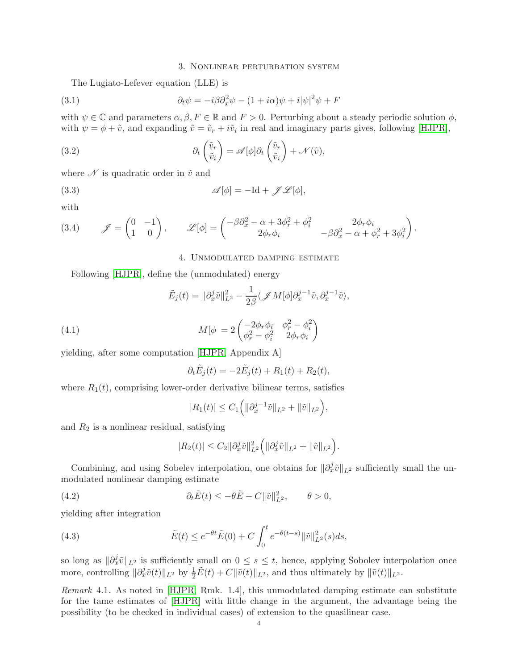# <span id="page-3-1"></span><span id="page-3-0"></span>3. Nonlinear perturbation system

The Lugiato-Lefever equation (LLE) is

(3.1) 
$$
\partial_t \psi = -i\beta \partial_x^2 \psi - (1 + i\alpha)\psi + i|\psi|^2 \psi + F
$$

with  $\psi \in \mathbb{C}$  and parameters  $\alpha, \beta, F \in \mathbb{R}$  and  $F > 0$ . Perturbing about a steady periodic solution  $\phi$ , with  $\psi = \phi + \tilde{v}$ , and expanding  $\tilde{v} = \tilde{v}_r + i\tilde{v}_i$  in real and imaginary parts gives, following [\[HJPR\]](#page-8-0),

(3.2) 
$$
\partial_t \begin{pmatrix} \tilde{v}_r \\ \tilde{v}_i \end{pmatrix} = \mathscr{A}[\phi] \partial_t \begin{pmatrix} \tilde{v}_r \\ \tilde{v}_i \end{pmatrix} + \mathscr{N}(\tilde{v}),
$$

where  $\mathscr N$  is quadratic order in  $\tilde v$  and

(3.3) 
$$
\mathscr{A}[\phi] = -\mathrm{Id} + \mathscr{J} \mathscr{L}[\phi],
$$

with

<span id="page-3-4"></span><span id="page-3-3"></span>(3.4) 
$$
\mathscr{J} = \begin{pmatrix} 0 & -1 \\ 1 & 0 \end{pmatrix}, \qquad \mathscr{L}[\phi] = \begin{pmatrix} -\beta \partial_x^2 - \alpha + 3\phi_r^2 + \phi_i^2 & 2\phi_r \phi_i \\ 2\phi_r \phi_i & -\beta \partial_x^2 - \alpha + \phi_r^2 + 3\phi_i^2 \end{pmatrix}.
$$

# <span id="page-3-2"></span>4. Unmodulated damping estimate

Following [\[HJPR\]](#page-8-0), define the (unmodulated) energy

$$
\tilde{E}_j(t) = \|\partial_x^j \tilde{v}\|_{L^2}^2 - \frac{1}{2\beta} \langle \mathscr{J} M[\phi] \partial_x^{j-1} \tilde{v}, \partial_x^{j-1} \tilde{v} \rangle,
$$

(4.1) 
$$
M[\phi = 2 \begin{pmatrix} -2\phi_r \phi_i & \phi_r^2 - \phi_i^2 \\ \phi_r^2 - \phi_i^2 & 2\phi_r \phi_i \end{pmatrix}
$$

yielding, after some computation [\[HJPR,](#page-8-0) Appendix A]

<span id="page-3-5"></span>
$$
\partial_t \tilde{E}_j(t) = -2\tilde{E}_j(t) + R_1(t) + R_2(t),
$$

where  $R_1(t)$ , comprising lower-order derivative bilinear terms, satisfies

$$
|R_1(t)| \leq C_1 \Big( \| \partial_x^{j-1} \tilde{v} \|_{L^2} + \| \tilde{v} \|_{L^2} \Big),
$$

and  $R_2$  is a nonlinear residual, satisfying

$$
|R_2(t)| \leq C_2 \|\partial_x^j \tilde{v}\|_{L^2}^2 \Big( \|\partial_x^j \tilde{v}\|_{L^2} + \|\tilde{v}\|_{L^2} \Big).
$$

Combining, and using Sobelev interpolation, one obtains for  $\|\partial_x^j \tilde{v}\|_{L^2}$  sufficiently small the unmodulated nonlinear damping estimate

(4.2) 
$$
\partial_t \tilde{E}(t) \le -\theta \tilde{E} + C \|\tilde{v}\|_{L^2}^2, \qquad \theta > 0,
$$

yielding after integration

(4.3) 
$$
\tilde{E}(t) \le e^{-\theta t} \tilde{E}(0) + C \int_0^t e^{-\theta(t-s)} ||\tilde{v}||_{L^2}^2(s) ds,
$$

so long as  $\|\partial_x^j \tilde{v}\|_{L^2}$  is sufficiently small on  $0 \leq s \leq t$ , hence, applying Sobolev interpolation once more, controlling  $\|\partial_x^j \tilde{v}(t)\|_{L^2}$  by  $\frac{1}{2}\tilde{E}(t) + C\|\tilde{v}(t)\|_{L^2}$ , and thus ultimately by  $\|\tilde{v}(t)\|_{L^2}$ .

<span id="page-3-6"></span>Remark 4.1. As noted in [\[HJPR,](#page-8-0) Rmk. 1.4], this unmodulated damping estimate can substitute for the tame estimates of [\[HJPR\]](#page-8-0) with little change in the argument, the advantage being the possibility (to be checked in individual cases) of extension to the quasilinear case.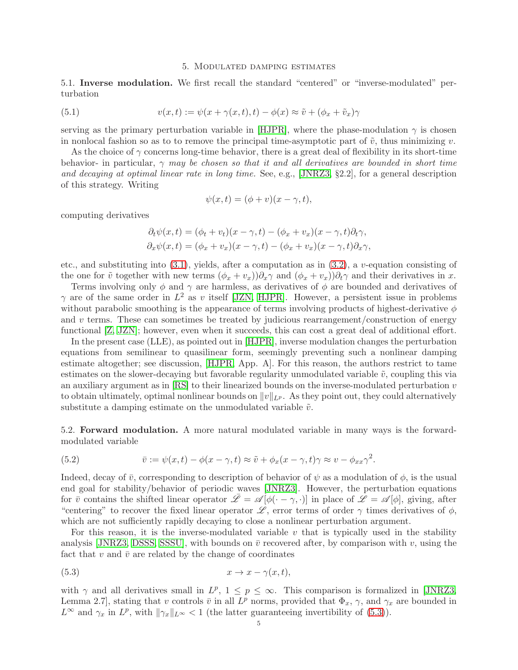#### 5. Modulated damping estimates

5.1. Inverse modulation. We first recall the standard "centered" or "inverse-modulated" perturbation

(5.1) 
$$
v(x,t) := \psi(x + \gamma(x,t),t) - \phi(x) \approx \tilde{v} + (\phi_x + \tilde{v}_x)\gamma
$$

serving as the primary perturbation variable in [\[HJPR\]](#page-8-0), where the phase-modulation  $\gamma$  is chosen in nonlocal fashion so as to to remove the principal time-asymptotic part of  $\tilde{v}$ , thus minimizing v.

As the choice of  $\gamma$  concerns long-time behavior, there is a great deal of flexibility in its short-time behavior- in particular,  $\gamma$  may be chosen so that it and all derivatives are bounded in short time and decaying at optimal linear rate in long time. See, e.g., [\[JNRZ3,](#page-8-2) §2.2], for a general description of this strategy. Writing

$$
\psi(x,t) = (\phi + v)(x - \gamma, t),
$$

computing derivatives

$$
\partial_t \psi(x,t) = (\phi_t + v_t)(x - \gamma, t) - (\phi_x + v_x)(x - \gamma, t)\partial_t \gamma,
$$
  

$$
\partial_x \psi(x,t) = (\phi_x + v_x)(x - \gamma, t) - (\phi_x + v_x)(x - \gamma, t)\partial_x \gamma,
$$

etc., and substituting into  $(3.1)$ , yields, after a computation as in  $(3.2)$ , a v-equation consisting of the one for  $\tilde{v}$  together with new terms  $(\phi_x + v_x))\partial_x\gamma$  and  $(\phi_x + v_x)\partial_t\gamma$  and their derivatives in x.

Terms involving only  $\phi$  and  $\gamma$  are harmless, as derivatives of  $\phi$  are bounded and derivatives of  $\gamma$  are of the same order in  $L^2$  as v itself [\[JZN,](#page-9-0) [HJPR\]](#page-8-0). However, a persistent issue in problems without parabolic smoothing is the appearance of terms involving products of highest-derivative  $\phi$ and  $v$  terms. These can sometimes be treated by judicious rearrangement/construction of energy functional [\[Z,](#page-9-6) [JZN\]](#page-9-0); however, even when it succeeds, this can cost a great deal of additional effort.

In the present case (LLE), as pointed out in [\[HJPR\]](#page-8-0), inverse modulation changes the perturbation equations from semilinear to quasilinear form, seemingly preventing such a nonlinear damping estimate altogether; see discussion, [\[HJPR,](#page-8-0) App. A]. For this reason, the authors restrict to tame estimates on the slower-decaying but favorable regularity unmodulated variable  $\tilde{v}$ , coupling this via an auxiliary argument as in  $[RS]$  to their linearized bounds on the inverse-modulated perturbation  $v$ to obtain ultimately, optimal nonlinear bounds on  $||v||_{L^p}$ . As they point out, they could alternatively substitute a damping estimate on the unmodulated variable  $\tilde{v}$ .

5.2. Forward modulation. A more natural modulated variable in many ways is the forwardmodulated variable

<span id="page-4-0"></span>(5.2) 
$$
\overline{v} := \psi(x,t) - \phi(x-\gamma,t) \approx \tilde{v} + \phi_x(x-\gamma,t)\gamma \approx v - \phi_{xx}\gamma^2.
$$

Indeed, decay of  $\bar{v}$ , corresponding to description of behavior of  $\psi$  as a modulation of  $\phi$ , is the usual end goal for stability/behavior of periodic waves [\[JNRZ3\]](#page-8-2). However, the perturbation equations for  $\bar{v}$  contains the shifted linear operator  $\bar{\mathscr{L}} = \mathscr{A}[\phi(\cdot - \gamma, \cdot)]$  in place of  $\mathscr{L} = \mathscr{A}[\phi]$ , giving, after "centering" to recover the fixed linear operator  $\mathscr{L}$ , error terms of order  $\gamma$  times derivatives of  $\phi$ , which are not sufficiently rapidly decaying to close a nonlinear perturbation argument.

For this reason, it is the inverse-modulated variable  $v$  that is typically used in the stability analysis [\[JNRZ3,](#page-8-2) [DSSS,](#page-8-4) [SSSU\]](#page-9-3), with bounds on  $\bar{v}$  recovered after, by comparison with v, using the fact that  $v$  and  $\bar{v}$  are related by the change of coordinates

<span id="page-4-1"></span>
$$
(5.3) \t\t x \to x - \gamma(x, t),
$$

with  $\gamma$  and all derivatives small in  $L^p$ ,  $1 \leq p \leq \infty$ . This comparison is formalized in [\[JNRZ3,](#page-8-2) Lemma 2.7, stating that v controls  $\bar{v}$  in all  $L^p$  norms, provided that  $\Phi_x$ ,  $\gamma$ , and  $\gamma_x$  are bounded in  $L^{\infty}$  and  $\gamma_x$  in  $L^p$ , with  $\|\gamma_x\|_{L^{\infty}} < 1$  (the latter guaranteeing invertibility of [\(5.3\)](#page-4-1)).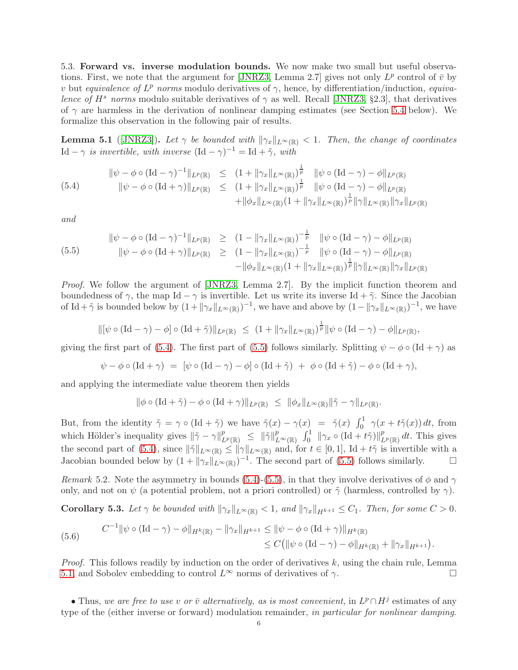<span id="page-5-0"></span>5.3. Forward vs. inverse modulation bounds. We now make two small but useful observa-tions. First, we note that the argument for [\[JNRZ3,](#page-8-2) Lemma 2.7] gives not only  $L^p$  control of  $\bar{v}$  by v but equivalence of  $L^p$  norms modulo derivatives of  $\gamma$ , hence, by differentiation/induction, equivalence of  $H^s$  norms modulo suitable derivatives of  $\gamma$  as well. Recall [\[JNRZ3,](#page-8-2) §2.3], that derivatives of  $\gamma$  are harmless in the derivation of nonlinear damping estimates (see Section [5.4](#page-6-0) below). We formalize this observation in the following pair of results.

<span id="page-5-3"></span>**Lemma 5.1** ([\[JNRZ3\]](#page-8-2)). Let  $\gamma$  be bounded with  $\|\gamma_x\|_{L^{\infty}(\mathbb{R})} < 1$ . Then, the change of coordinates Id –  $\gamma$  is invertible, with inverse  $(\text{Id} - \gamma)^{-1} = \text{Id} + \tilde{\gamma}$ , with

<span id="page-5-1"></span>(5.4) 
$$
\|\psi - \phi \circ (\text{Id} - \gamma)^{-1}\|_{L^p(\mathbb{R})} \le (1 + \|\gamma_x\|_{L^\infty(\mathbb{R})})^{\frac{1}{p}} \|\psi \circ (\text{Id} - \gamma) - \phi\|_{L^p(\mathbb{R})} \|\psi - \phi \circ (\text{Id} + \gamma)\|_{L^p(\mathbb{R})} \le (1 + \|\gamma_x\|_{L^\infty(\mathbb{R})})^{\frac{1}{p}} \|\psi \circ (\text{Id} - \gamma) - \phi\|_{L^p(\mathbb{R})} \n+ \|\phi_x\|_{L^\infty(\mathbb{R})} (1 + \|\gamma_x\|_{L^\infty(\mathbb{R})})^{\frac{1}{p}} \|\gamma\|_{L^\infty(\mathbb{R})} \|\gamma_x\|_{L^p(\mathbb{R})}
$$

and

<span id="page-5-2"></span>
$$
\|\psi - \phi \circ (\text{Id} - \gamma)^{-1}\|_{L^p(\mathbb{R})} \ge (1 - \|\gamma_x\|_{L^\infty(\mathbb{R})})^{-\frac{1}{p}} \|\psi \circ (\text{Id} - \gamma) - \phi\|_{L^p(\mathbb{R})}
$$
  
\n
$$
\|\psi - \phi \circ (\text{Id} + \gamma)\|_{L^p(\mathbb{R})} \ge (1 - \|\gamma_x\|_{L^\infty(\mathbb{R})})^{-\frac{1}{p}} \|\psi \circ (\text{Id} - \gamma) - \phi\|_{L^p(\mathbb{R})}
$$
  
\n
$$
- \|\phi_x\|_{L^\infty(\mathbb{R})} (1 + \|\gamma_x\|_{L^\infty(\mathbb{R})})^{\frac{1}{p}} \|\gamma\|_{L^\infty(\mathbb{R})} \|\gamma_x\|_{L^p(\mathbb{R})}
$$

Proof. We follow the argument of [\[JNRZ3,](#page-8-2) Lemma 2.7]. By the implicit function theorem and boundedness of  $\gamma$ , the map Id –  $\gamma$  is invertible. Let us write its inverse Id +  $\tilde{\gamma}$ . Since the Jacobian of Id +  $\tilde{\gamma}$  is bounded below by  $(1 + ||\gamma_x||_{L^{\infty}(\mathbb{R})})^{-1}$ , we have and above by  $(1 - ||\gamma_x||_{L^{\infty}(\mathbb{R})})^{-1}$ , we have

$$
\|[\psi \circ (\mathrm{Id} - \gamma) - \phi] \circ (\mathrm{Id} + \tilde{\gamma})\|_{L^p(\mathbb{R})} \le (1 + \|\gamma_x\|_{L^{\infty}(\mathbb{R})})^{\frac{1}{p}} \|\psi \circ (\mathrm{Id} - \gamma) - \phi\|_{L^p(\mathbb{R})},
$$

giving the first part of [\(5.4\)](#page-5-1). The first part of [\(5.5\)](#page-5-2) follows similarly. Splitting  $\psi - \phi \circ (\text{Id} + \gamma)$  as

$$
\psi - \phi \circ (\text{Id} + \gamma) = [\psi \circ (\text{Id} - \gamma) - \phi] \circ (\text{Id} + \tilde{\gamma}) + \phi \circ (\text{Id} + \tilde{\gamma}) - \phi \circ (\text{Id} + \gamma),
$$

and applying the intermediate value theorem then yields

$$
\|\phi\circ(\mathrm{Id}+\tilde\gamma)-\phi\circ(\mathrm{Id}+\gamma)\|_{L^p(\mathbb{R})}\;\leq\;\|\phi_x\|_{L^\infty(\mathbb{R})}\|\tilde\gamma-\gamma\|_{L^p(\mathbb{R})}.
$$

But, from the identity  $\tilde{\gamma} = \gamma \circ (\text{Id} + \tilde{\gamma})$  we have  $\tilde{\gamma}(x) - \gamma(x) = \tilde{\gamma}(x) \int_0^1 \gamma(x + t\tilde{\gamma}(x)) dt$ , from which Hölder's inequality gives  $\|\tilde{\gamma} - \gamma\|_{L^p(\mathbb{R})}^p \leq \|\tilde{\gamma}\|_{L^{\infty}(\mathbb{R})}^p \int_0^1 \|\gamma_x \circ (\text{Id} + t\tilde{\gamma})\|_{L^p(\mathbb{R})}^p dt$ . This gives the second part of [\(5.4\)](#page-5-1), since  $\|\tilde{\gamma}\|_{L^{\infty}(\mathbb{R})} \leq \|\gamma\|_{L^{\infty}(\mathbb{R})}$  and, for  $t \in [0,1]$ , Id +  $t\tilde{\gamma}$  is invertible with a Jacobian bounded below by  $(1 + ||\gamma_x||_{L^\infty(\mathbb{R})})^{-1}$ . The second part of [\(5.5\)](#page-5-2) follows similarly.

Remark 5.2. Note the asymmetry in bounds [\(5.4\)](#page-5-1)-[\(5.5\)](#page-5-2), in that they involve derivatives of  $\phi$  and  $\gamma$ only, and not on  $\psi$  (a potential problem, not a priori controlled) or  $\tilde{\gamma}$  (harmless, controlled by  $\gamma$ ).

<span id="page-5-4"></span>**Corollary 5.3.** Let  $\gamma$  be bounded with  $\|\gamma_x\|_{L^{\infty}(\mathbb{R})} < 1$ , and  $\|\gamma_x\|_{H^{k+1}} \leq C_1$ . Then, for some  $C > 0$ .

(5.6) 
$$
C^{-1} \|\psi \circ (\text{Id} - \gamma) - \phi\|_{H^k(\mathbb{R})} - \|\gamma_x\|_{H^{k+1}} \le \|\psi - \phi \circ (\text{Id} + \gamma)\|_{H^k(\mathbb{R})}
$$

$$
\le C \big(\|\psi \circ (\text{Id} - \gamma) - \phi\|_{H^k(\mathbb{R})} + \|\gamma_x\|_{H^{k+1}}\big).
$$

*Proof.* This follows readily by induction on the order of derivatives  $k$ , using the chain rule, Lemma [5.1,](#page-5-3) and Sobolev embedding to control  $L^{\infty}$  norms of derivatives of  $\gamma$ .

• Thus, we are free to use v or  $\bar{v}$  alternatively, as is most convenient, in  $L^p \cap H^j$  estimates of any type of the (either inverse or forward) modulation remainder, in particular for nonlinear damping.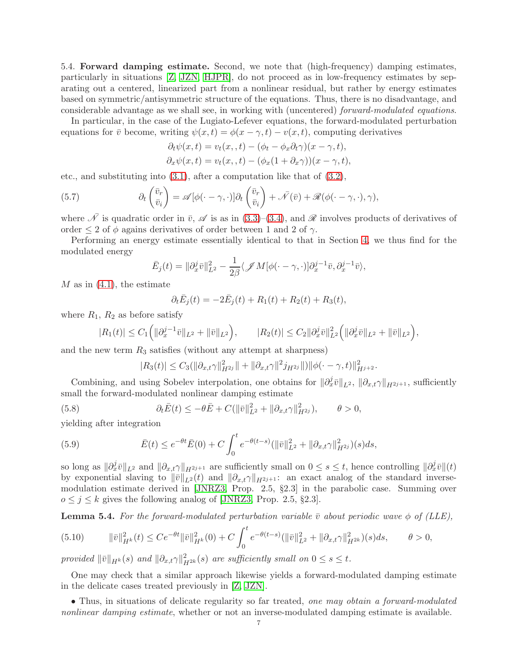<span id="page-6-0"></span>5.4. Forward damping estimate. Second, we note that (high-frequency) damping estimates, particularly in situations [\[Z,](#page-9-6) [JZN,](#page-9-0) [HJPR\]](#page-8-0), do not proceed as in low-frequency estimates by separating out a centered, linearized part from a nonlinear residual, but rather by energy estimates based on symmetric/antisymmetric structure of the equations. Thus, there is no disadvantage, and considerable advantage as we shall see, in working with (uncentered) forward-modulated equations.

In particular, in the case of the Lugiato-Lefever equations, the forward-modulated perturbation equations for  $\bar{v}$  become, writing  $\psi(x, t) = \phi(x - \gamma, t) - v(x, t)$ , computing derivatives

$$
\partial_t \psi(x,t) = v_t(x,,t) - (\phi_t - \phi_x \partial_t \gamma)(x - \gamma, t),
$$
  

$$
\partial_x \psi(x,t) = v_t(x,,t) - (\phi_x(1 + \partial_x \gamma))(x - \gamma, t),
$$

etc., and substituting into [\(3.1\)](#page-3-0), after a computation like that of [\(3.2\)](#page-3-1),

(5.7) 
$$
\partial_t \begin{pmatrix} \bar{v}_r \\ \bar{v}_i \end{pmatrix} = \mathscr{A}[\phi(\cdot - \gamma, \cdot)] \partial_t \begin{pmatrix} \bar{v}_r \\ \bar{v}_i \end{pmatrix} + \bar{\mathscr{N}}(\bar{v}) + \mathscr{R}(\phi(\cdot - \gamma, \cdot), \gamma),
$$

where  $\overline{\mathcal{N}}$  is quadratic order in  $\overline{v}$ ,  $\mathscr{A}$  is as in [\(3.3\)](#page-3-2)–[\(3.4\)](#page-3-3), and  $\mathscr{R}$  involves products of derivatives of order  $\leq 2$  of  $\phi$  agains derivatives of order between 1 and 2 of  $\gamma$ .

Performing an energy estimate essentially identical to that in Section [4,](#page-3-4) we thus find for the modulated energy

$$
\bar{E}_j(t) = \|\partial_x^j \bar{v}\|_{L^2}^2 - \frac{1}{2\beta} \langle \mathcal{J}M[\phi(\cdot - \gamma, \cdot)]\partial_x^{j-1} \bar{v}, \partial_x^{j-1} \bar{v} \rangle,
$$

 $M$  as in  $(4.1)$ , the estimate

$$
\partial_t \bar{E}_j(t) = -2\bar{E}_j(t) + R_1(t) + R_2(t) + R_3(t),
$$

where  $R_1, R_2$  as before satisfy

$$
|R_1(t)| \leq C_1 \Big( \|\partial_x^{j-1} \bar{v}\|_{L^2} + \|\bar{v}\|_{L^2} \Big), \qquad |R_2(t)| \leq C_2 \|\partial_x^j \bar{v}\|_{L^2}^2 \Big( \|\partial_x^j \bar{v}\|_{L^2} + \|\bar{v}\|_{L^2} \Big),
$$

and the new term  $R_3$  satisfies (without any attempt at sharpness)

$$
|R_3(t)| \leq C_3(||\partial_{x,t}\gamma||_{H^{2j}}^2|| + ||\partial_{x,t}\gamma||^2 j_{H^{2j}}||)||\phi(\cdot - \gamma, t)||_{H^{j+2}}^2.
$$

Combining, and using Sobelev interpolation, one obtains for  $\|\partial_x^j \bar{v}\|_{L^2}$ ,  $\|\partial_{x,t}\gamma\|_{H^{2j+1}}$ , sufficiently small the forward-modulated nonlinear damping estimate

(5.8) 
$$
\partial_t \bar{E}(t) \leq -\theta \bar{E} + C(||\bar{v}||^2_{L^2} + ||\partial_{x,t}\gamma||^2_{H^{2j}}), \qquad \theta > 0,
$$

yielding after integration

(5.9) 
$$
\bar{E}(t) \le e^{-\theta t} \bar{E}(0) + C \int_0^t e^{-\theta(t-s)} (\|\bar{v}\|_{L^2}^2 + \|\partial_{x,t}\gamma\|_{H^{2j}}^2)(s) ds,
$$

so long as  $\|\partial_x^j \bar{v}\|_{L^2}$  and  $\|\partial_{x,t}\gamma\|_{H^{2j+1}}$  are sufficiently small on  $0 \leq s \leq t$ , hence controlling  $\|\partial_x^j \bar{v}\|_{(t)}$ by exponential slaving to  $\|\bar{v}\|_{L^2} (t)$  and  $\|\partial_{x,t}\gamma\|_{H^{2j+1}}$  : an exact analog of the standard inversemodulation estimate derived in [\[JNRZ3,](#page-8-2) Prop. 2.5, §2.3] in the parabolic case. Summing over  $o \leq j \leq k$  gives the following analog of [\[JNRZ3,](#page-8-2) Prop. 2.5, §2.3].

<span id="page-6-1"></span>**Lemma 5.4.** For the forward-modulated perturbation variable  $\bar{v}$  about periodic wave  $\phi$  of (LLE),

<span id="page-6-2"></span>
$$
(5.10) \t\t ||\bar{v}||_{H^k}^2(t) \le Ce^{-\theta t} ||\bar{v}||_{H^k}^2(0) + C \int_0^t e^{-\theta(t-s)} (||\bar{v}||_{L^2}^2 + ||\partial_{x,t}\gamma||_{H^{2k}}^2)(s)ds, \t\t \theta > 0,
$$

provided  $\|\bar{v}\|_{H^k}(s)$  and  $\|\partial_{x,t}\gamma\|_{H^{2k}}^2(s)$  are sufficiently small on  $0 \le s \le t$ .

One may check that a similar approach likewise yields a forward-modulated damping estimate in the delicate cases treated previously in [\[Z,](#page-9-6) [JZN\]](#page-9-0).

• Thus, in situations of delicate regularity so far treated, one may obtain a forward-modulated nonlinear damping estimate, whether or not an inverse-modulated damping estimate is available.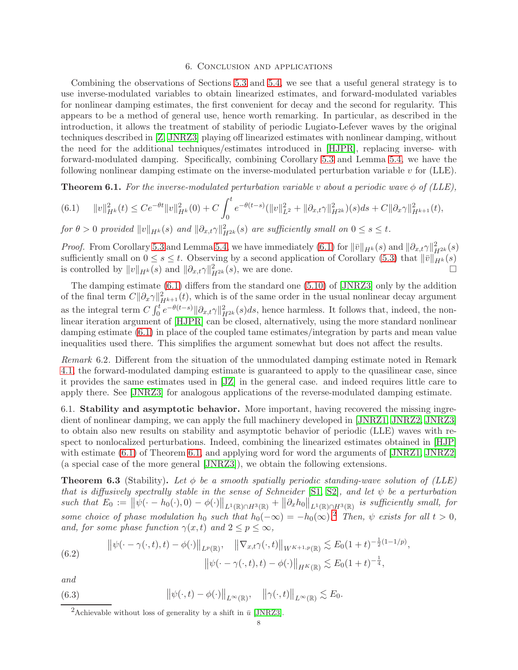#### 6. Conclusion and applications

Combining the observations of Sections [5.3](#page-5-0) and [5.4,](#page-6-0) we see that a useful general strategy is to use inverse-modulated variables to obtain linearized estimates, and forward-modulated variables for nonlinear damping estimates, the first convenient for decay and the second for regularity. This appears to be a method of general use, hence worth remarking. In particular, as described in the introduction, it allows the treatment of stability of periodic Lugiato-Lefever waves by the original techniques described in [\[Z,](#page-9-6) [JNRZ3\]](#page-8-2) playing off linearized estimates with nonlinear damping, without the need for the additional techniques/estimates introduced in [\[HJPR\]](#page-8-0), replacing inverse- with forward-modulated damping. Specifically, combining Corollary [5.3](#page-5-4) and Lemma [5.4,](#page-6-1) we have the following nonlinear damping estimate on the inverse-modulated perturbation variable  $v$  for (LLE).

<span id="page-7-1"></span>**Theorem 6.1.** For the inverse-modulated perturbation variable v about a periodic wave  $\phi$  of (LLE),

<span id="page-7-0"></span>
$$
(6.1) \quad ||v||_{H^k}^2(t) \le Ce^{-\theta t} ||v||_{H^k}^2(0) + C \int_0^t e^{-\theta(t-s)} (||v||_{L^2}^2 + ||\partial_{x,t}\gamma||_{H^{2k}}^2)(s)ds + C||\partial_x \gamma||_{H^{k+1}}^2(t),
$$

for  $\theta > 0$  provided  $||v||_{H^k}(s)$  and  $||\partial_{x,t}\gamma||_{H^{2k}}^2(s)$  are sufficiently small on  $0 \le s \le t$ .

*Proof.* From Corollary [5.3](#page-5-4) and Lemma [5.4,](#page-6-1) we have immediately [\(6.1\)](#page-7-0) for  $\|\bar{v}\|_{H^k}(s)$  and  $\|\partial_{x,t}\gamma\|_{H^{2k}}^2(s)$ sufficiently small on  $0 \le s \le t$ . Observing by a second application of Corollary [\(5.3\)](#page-5-4) that  $\|\bar{v}\|_{H^k}^k(s)$ is controlled by  $||v||_{H^k}(s)$  and  $||\partial_{x,t}\gamma||_{H^{2k}}^2(s)$ , we are done.

The damping estimate [\(6.1\)](#page-7-0) differs from the standard one [\(5.10\)](#page-6-2) of [\[JNRZ3\]](#page-8-2) only by the addition of the final term  $C||\partial_x \gamma||^2_{H^{k+1}}(t)$ , which is of the same order in the usual nonlinear decay argument as the integral term  $C \int_0^t e^{-\theta(t-s)} ||\partial_{x,t}\gamma||_{H^{2k}}^2(s) ds$ , hence harmless. It follows that, indeed, the non-linear iteration argument of [\[HJPR\]](#page-8-0) can be closed, alternatively, using the more standard nonlinear damping estimate [\(6.1\)](#page-7-0) in place of the coupled tame estimates/integration by parts and mean value inequalities used there. This simplifies the argument somewhat but does not affect the results.

Remark 6.2. Different from the situation of the unmodulated damping estimate noted in Remark [4.1,](#page-3-6) the forward-modulated damping estimate is guaranteed to apply to the quasilinear case, since it provides the same estimates used in [\[JZ\]](#page-9-2) in the general case. and indeed requires little care to apply there. See [\[JNRZ3\]](#page-8-2) for analogous applications of the reverse-modulated damping estimate.

6.1. Stability and asymptotic behavior. More important, having recovered the missing ingre-dient of nonlinear damping, we can apply the full machinery developed in [\[JNRZ1,](#page-8-5) [JNRZ2,](#page-8-6) [JNRZ3\]](#page-8-2) to obtain also new results on stability and asymptotic behavior of periodic (LLE) waves with respect to nonlocalized perturbations. Indeed, combining the linearized estimates obtained in [\[HJP\]](#page-8-1) with estimate  $(6.1)$  of Theorem [6.1,](#page-7-1) and applying word for word the arguments of [\[JNRZ1,](#page-8-5) [JNRZ2\]](#page-8-6) (a special case of the more general [\[JNRZ3\]](#page-8-2)), we obtain the following extensions.

<span id="page-7-3"></span>**Theorem 6.3** (Stability). Let  $\phi$  be a smooth spatially periodic standing-wave solution of (LLE) that is diffusively spectrally stable in the sense of Schneider [\[S1,](#page-9-4) [S2\]](#page-9-5), and let  $\psi$  be a perturbation such that  $E_0 := \left\|\psi(\cdot - h_0(\cdot), 0) - \phi(\cdot)\right\|_{L^1(\mathbb{R}) \cap H^3(\mathbb{R})} + \left\|\partial_x h_0\right\|_{L^1(\mathbb{R}) \cap H^3(\mathbb{R})}$  is sufficiently small, for some choice of phase modulation  $h_0$  such that  $h_0(-\infty) = -h_0(\infty)$ . Then,  $\psi$  exists for all  $t > 0$ , and, for some phase function  $\gamma(x, t)$  and  $2 \le p \le \infty$ ,

(6.2) 
$$
\|\psi(\cdot - \gamma(\cdot, t), t) - \phi(\cdot)\|_{L^p(\mathbb{R})}, \quad \|\nabla_{x,t}\gamma(\cdot, t)\|_{W^{K+1,p}(\mathbb{R})} \lesssim E_0(1+t)^{-\frac{1}{2}(1-1/p)}, \|\psi(\cdot - \gamma(\cdot, t), t) - \phi(\cdot)\|_{H^K(\mathbb{R})} \lesssim E_0(1+t)^{-\frac{1}{4}},
$$

and

(6.3) 
$$
\|\psi(\cdot,t)-\phi(\cdot)\|_{L^{\infty}(\mathbb{R})}, \quad \|\gamma(\cdot,t)\|_{L^{\infty}(\mathbb{R})} \lesssim E_0.
$$

<span id="page-7-2"></span><sup>&</sup>lt;sup>2</sup>Achievable without loss of generality by a shift in  $\bar{u}$  [\[JNRZ3\]](#page-8-2).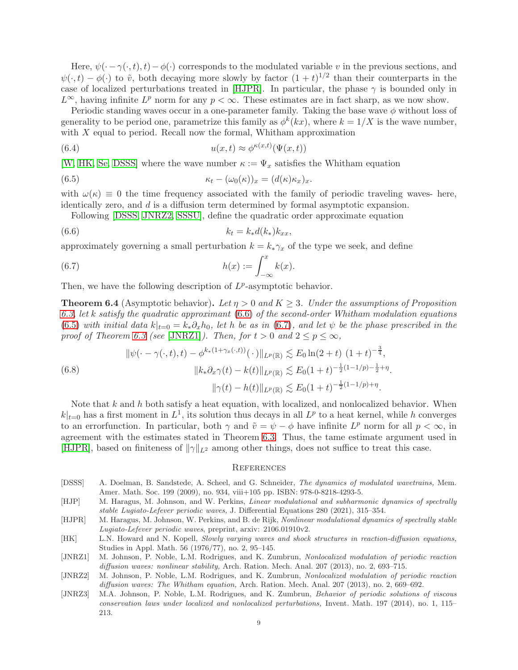Here,  $\psi(\cdot - \gamma(\cdot, t), t) - \phi(\cdot)$  corresponds to the modulated variable v in the previous sections, and  $\psi(\cdot,t) - \phi(\cdot)$  to  $\tilde{v}$ , both decaying more slowly by factor  $(1+t)^{1/2}$  than their counterparts in the case of localized perturbations treated in [\[HJPR\]](#page-8-0). In particular, the phase  $\gamma$  is bounded only in  $L^{\infty}$ , having infinite  $L^p$  norm for any  $p < \infty$ . These estimates are in fact sharp, as we now show.

Periodic standing waves occur in a one-parameter family. Taking the base wave  $\phi$  without loss of generality to be period one, parametrize this family as  $\phi^k(kx)$ , where  $k = 1/X$  is the wave number, with  $X$  equal to period. Recall now the formal, Whitham approximation

(6.4) 
$$
u(x,t) \approx \phi^{\kappa(x,t)}(\Psi(x,t))
$$

[\[W,](#page-9-7) [HK,](#page-8-3) [Se,](#page-9-8) [DSSS\]](#page-8-4) where the wave number  $\kappa := \Psi_x$  satisfies the Whitham equation

(6.5) 
$$
\kappa_t - (\omega_0(\kappa))_x = (d(\kappa)\kappa_x)_x.
$$

with  $\omega(\kappa) \equiv 0$  the time frequency associated with the family of periodic traveling waves- here, identically zero, and d is a diffusion term determined by formal asymptotic expansion.

<span id="page-8-9"></span><span id="page-8-8"></span><span id="page-8-7"></span>Following [\[DSSS,](#page-8-4) [JNRZ2,](#page-8-6) [SSSU\]](#page-9-3), define the quadratic order approximate equation

$$
(6.6) \t\t kt = k*d(k*)kxx,
$$

approximately governing a small perturbation  $k = k_{*}\gamma_x$  of the type we seek, and define

(6.7) 
$$
h(x) := \int_{-\infty}^{x} k(x).
$$

Then, we have the following description of  $L^p$ -asymptotic behavior.

**Theorem 6.4** (Asymptotic behavior). Let  $\eta > 0$  and  $K \geq 3$ . Under the assumptions of Proposition [6.3,](#page-7-3) let k satisfy the quadratic approximant [\(6.6\)](#page-8-7) of the second-order Whitham modulation equations [\(6.5\)](#page-8-8) with initial data  $k|_{t=0} = k_* \partial_x h_0$ , let h be as in [\(6.7\)](#page-8-9), and let  $\psi$  be the phase prescribed in the proof of Theorem [6.3](#page-7-3) (see [\[JNRZ1\]](#page-8-5)). Then, for  $t > 0$  and  $2 \le p \le \infty$ ,

(6.8) 
$$
\|\psi(\cdot - \gamma(\cdot, t), t) - \phi^{k_*(1 + \gamma_x(\cdot, t))}(\cdot)\|_{L^p(\mathbb{R})} \lesssim E_0 \ln(2 + t) (1 + t)^{-\frac{3}{4}},
$$

$$
\|k_* \partial_x \gamma(t) - k(t)\|_{L^p(\mathbb{R})} \lesssim E_0 (1 + t)^{-\frac{1}{2}(1 - 1/p) - \frac{1}{2} + \eta}.
$$

$$
\|\gamma(t) - h(t)\|_{L^p(\mathbb{R})} \lesssim E_0 (1 + t)^{-\frac{1}{2}(1 - 1/p) + \eta}.
$$

Note that  $k$  and  $h$  both satisfy a heat equation, with localized, and nonlocalized behavior. When  $k|_{t=0}$  has a first moment in  $L^1$ , its solution thus decays in all  $L^p$  to a heat kernel, while h converges to an errorfunction. In particular, both  $\gamma$  and  $\tilde{v} = \psi - \phi$  have infinite  $L^p$  norm for all  $p < \infty$ , in agreement with the estimates stated in Theorem [6.3.](#page-7-3) Thus, the tame estimate argument used in [\[HJPR\]](#page-8-0), based on finiteness of  $\|\gamma\|_{L^2}$  among other things, does not suffice to treat this case.

### **REFERENCES**

- <span id="page-8-4"></span>[DSSS] A. Doelman, B. Sandstede, A. Scheel, and G. Schneider, The dynamics of modulated wavetrains, Mem. Amer. Math. Soc. 199 (2009), no. 934, viii+105 pp. ISBN: 978-0-8218-4293-5.
- <span id="page-8-1"></span>[HJP] M. Haragus, M. Johnson, and W. Perkins, Linear modulational and subharmonic dynamics of spectrally stable Lugiato-Lefever periodic waves, J. Differential Equations 280 (2021), 315–354.
- <span id="page-8-0"></span>[HJPR] M. Haragus, M. Johnson, W. Perkins, and B. de Rijk, Nonlinear modulational dynamics of spectrally stable Lugiato-Lefever periodic waves, preprint, arxiv: 2106.01910v2.
- <span id="page-8-3"></span>[HK] L.N. Howard and N. Kopell, Slowly varying waves and shock structures in reaction-diffusion equations, Studies in Appl. Math. 56 (1976/77), no. 2, 95–145.
- <span id="page-8-5"></span>[JNRZ1] M. Johnson, P. Noble, L.M. Rodrigues, and K. Zumbrun, Nonlocalized modulation of periodic reaction diffusion waves: nonlinear stability, Arch. Ration. Mech. Anal. 207 (2013), no. 2, 693-715.
- <span id="page-8-6"></span>[JNRZ2] M. Johnson, P. Noble, L.M. Rodrigues, and K. Zumbrun, Nonlocalized modulation of periodic reaction diffusion waves: The Whitham equation, Arch. Ration. Mech. Anal. 207 (2013), no. 2, 669–692.
- <span id="page-8-2"></span>[JNRZ3] M.A. Johnson, P. Noble, L.M. Rodrigues, and K. Zumbrun, Behavior of periodic solutions of viscous conservation laws under localized and nonlocalized perturbations, Invent. Math. 197 (2014), no. 1, 115– 213.